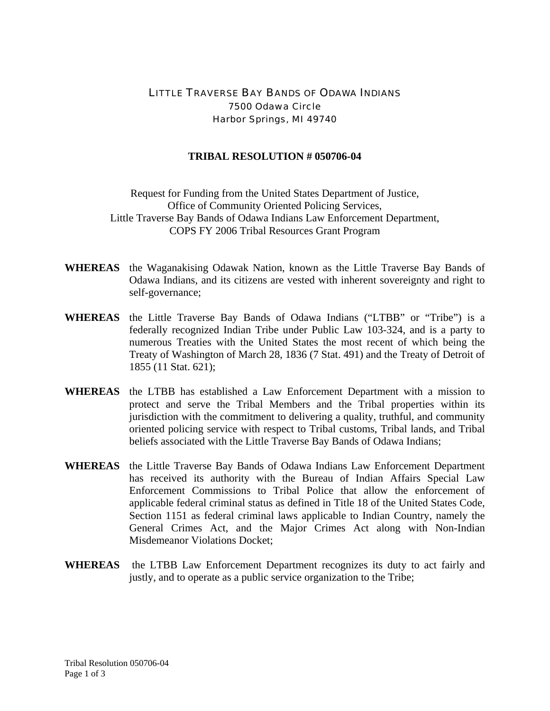## LITTLE TRAVERSE BAY BANDS OF ODAWA INDIANS 7500 Odawa Circle Harbor Springs, MI 49740

## **TRIBAL RESOLUTION # 050706-04**

Request for Funding from the United States Department of Justice, Office of Community Oriented Policing Services, Little Traverse Bay Bands of Odawa Indians Law Enforcement Department, COPS FY 2006 Tribal Resources Grant Program

- **WHEREAS** the Waganakising Odawak Nation, known as the Little Traverse Bay Bands of Odawa Indians, and its citizens are vested with inherent sovereignty and right to self-governance;
- **WHEREAS** the Little Traverse Bay Bands of Odawa Indians ("LTBB" or "Tribe") is a federally recognized Indian Tribe under Public Law 103-324, and is a party to numerous Treaties with the United States the most recent of which being the Treaty of Washington of March 28, 1836 (7 Stat. 491) and the Treaty of Detroit of 1855 (11 Stat. 621);
- **WHEREAS** the LTBB has established a Law Enforcement Department with a mission to protect and serve the Tribal Members and the Tribal properties within its jurisdiction with the commitment to delivering a quality, truthful, and community oriented policing service with respect to Tribal customs, Tribal lands, and Tribal beliefs associated with the Little Traverse Bay Bands of Odawa Indians;
- **WHEREAS** the Little Traverse Bay Bands of Odawa Indians Law Enforcement Department has received its authority with the Bureau of Indian Affairs Special Law Enforcement Commissions to Tribal Police that allow the enforcement of applicable federal criminal status as defined in Title 18 of the United States Code, Section 1151 as federal criminal laws applicable to Indian Country, namely the General Crimes Act, and the Major Crimes Act along with Non-Indian Misdemeanor Violations Docket;
- **WHEREAS** the LTBB Law Enforcement Department recognizes its duty to act fairly and justly, and to operate as a public service organization to the Tribe;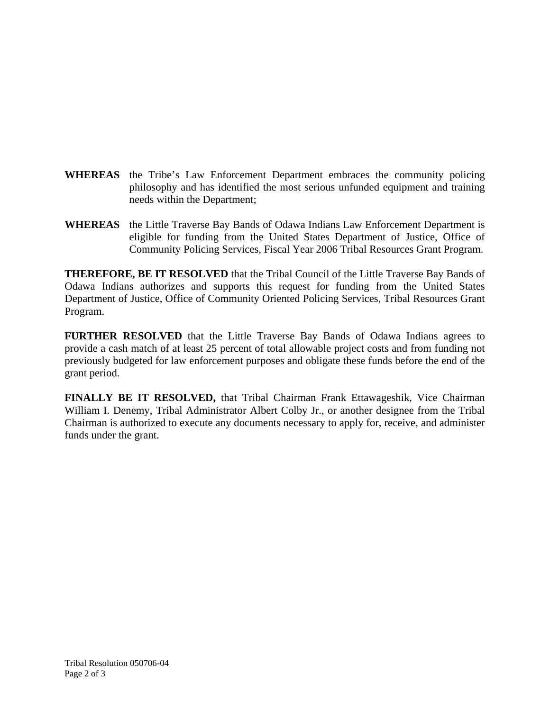- **WHEREAS** the Tribe's Law Enforcement Department embraces the community policing philosophy and has identified the most serious unfunded equipment and training needs within the Department;
- **WHEREAS** the Little Traverse Bay Bands of Odawa Indians Law Enforcement Department is eligible for funding from the United States Department of Justice, Office of Community Policing Services, Fiscal Year 2006 Tribal Resources Grant Program.

**THEREFORE, BE IT RESOLVED** that the Tribal Council of the Little Traverse Bay Bands of Odawa Indians authorizes and supports this request for funding from the United States Department of Justice, Office of Community Oriented Policing Services, Tribal Resources Grant Program.

**FURTHER RESOLVED** that the Little Traverse Bay Bands of Odawa Indians agrees to provide a cash match of at least 25 percent of total allowable project costs and from funding not previously budgeted for law enforcement purposes and obligate these funds before the end of the grant period.

**FINALLY BE IT RESOLVED,** that Tribal Chairman Frank Ettawageshik, Vice Chairman William I. Denemy, Tribal Administrator Albert Colby Jr., or another designee from the Tribal Chairman is authorized to execute any documents necessary to apply for, receive, and administer funds under the grant.